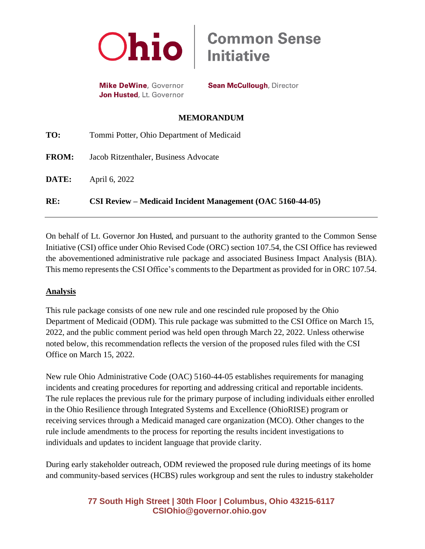

**Mike DeWine, Governor** Jon Husted, Lt. Governor

**Sean McCullough, Director** 

## **MEMORANDUM**

| RE:          | CSI Review – Medicaid Incident Management (OAC 5160-44-05) |
|--------------|------------------------------------------------------------|
| DATE:        | April 6, 2022                                              |
| <b>FROM:</b> | Jacob Ritzenthaler, Business Advocate                      |
| TO:          | Tommi Potter, Ohio Department of Medicaid                  |

On behalf of Lt. Governor Jon Husted, and pursuant to the authority granted to the Common Sense Initiative (CSI) office under Ohio Revised Code (ORC) section 107.54, the CSI Office has reviewed the abovementioned administrative rule package and associated Business Impact Analysis (BIA). This memo represents the CSI Office's comments to the Department as provided for in ORC 107.54.

## **Analysis**

This rule package consists of one new rule and one rescinded rule proposed by the Ohio Department of Medicaid (ODM). This rule package was submitted to the CSI Office on March 15, 2022, and the public comment period was held open through March 22, 2022. Unless otherwise noted below, this recommendation reflects the version of the proposed rules filed with the CSI Office on March 15, 2022.

New rule Ohio Administrative Code (OAC) 5160-44-05 establishes requirements for managing incidents and creating procedures for reporting and addressing critical and reportable incidents. The rule replaces the previous rule for the primary purpose of including individuals either enrolled in the Ohio Resilience through Integrated Systems and Excellence (OhioRISE) program or receiving services through a Medicaid managed care organization (MCO). Other changes to the rule include amendments to the process for reporting the results incident investigations to individuals and updates to incident language that provide clarity.

During early stakeholder outreach, ODM reviewed the proposed rule during meetings of its home and community-based services (HCBS) rules workgroup and sent the rules to industry stakeholder

# **77 South High Street | 30th Floor | Columbus, Ohio 43215-6117 [CSIOhio@governor.ohio.gov](mailto:CSIOhio@governor.ohio.gov)**